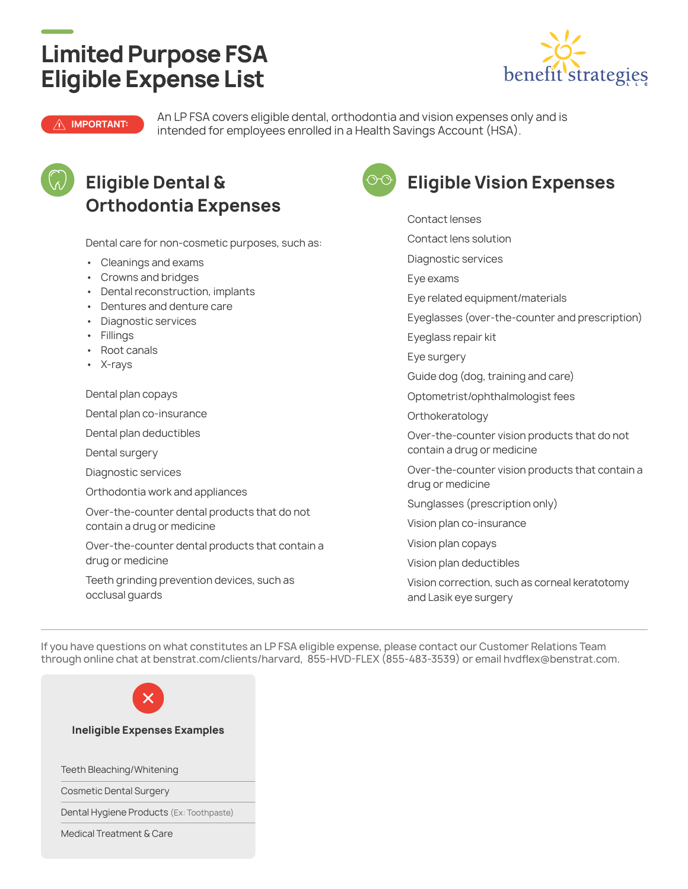## **Limited Purpose FSA Eligible Expense List**



**IMPORTANT:** An LP FSA covers eligible dental, orthodontia and vision expenses only and is intended for employees enrolled in a Health Savings Account (HSA).



### **Eligible Dental & Orthodontia Expenses**

Dental care for non-cosmetic purposes, such as:

- Cleanings and exams
- Crowns and bridges
- Dental reconstruction, implants
- Dentures and denture care
- Diagnostic services
- Fillings
- Root canals
- X-rays

Dental plan copays

Dental plan co-insurance

Dental plan deductibles

Dental surgery

Diagnostic services

Orthodontia work and appliances

Over-the-counter dental products that do not contain a drug or medicine

Over-the-counter dental products that contain a drug or medicine

Teeth grinding prevention devices, such as occlusal guards



### **Eligible Vision Expenses**

Contact lenses Contact lens solution Diagnostic services Eye exams Eye related equipment/materials Eyeglasses (over-the-counter and prescription) Eyeglass repair kit Eye surgery Guide dog (dog, training and care) Optometrist/ophthalmologist fees **Orthokeratology** Over-the-counter vision products that do not contain a drug or medicine Over-the-counter vision products that contain a drug or medicine Sunglasses (prescription only) Vision plan co-insurance Vision plan copays Vision plan deductibles Vision correction, such as corneal keratotomy and Lasik eye surgery

If you have questions on what constitutes an LP FSA eligible expense, please contact our Customer Relations Team through online chat at benstrat.com/clients/harvard, 855-HVD-FLEX (855-483-3539) or email hvdflex@benstrat.com.